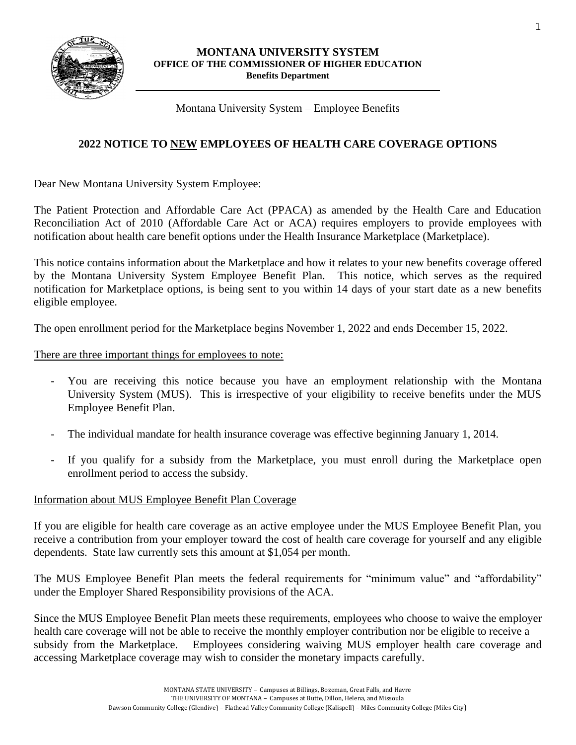

#### **MONTANA UNIVERSITY SYSTEM OFFICE OF THE COMMISSIONER OF HIGHER EDUCATION Benefits Department**

Montana University System – Employee Benefits

# **2022 NOTICE TO NEW EMPLOYEES OF HEALTH CARE COVERAGE OPTIONS**

Dear New Montana University System Employee:

The Patient Protection and Affordable Care Act (PPACA) as amended by the Health Care and Education Reconciliation Act of 2010 (Affordable Care Act or ACA) requires employers to provide employees with notification about health care benefit options under the Health Insurance Marketplace (Marketplace).

This notice contains information about the Marketplace and how it relates to your new benefits coverage offered by the Montana University System Employee Benefit Plan. This notice, which serves as the required notification for Marketplace options, is being sent to you within 14 days of your start date as a new benefits eligible employee.

The open enrollment period for the Marketplace begins November 1, 2022 and ends December 15, 2022.

There are three important things for employees to note:

- You are receiving this notice because you have an employment relationship with the Montana University System (MUS). This is irrespective of your eligibility to receive benefits under the MUS Employee Benefit Plan.
- The individual mandate for health insurance coverage was effective beginning January 1, 2014.
- If you qualify for a subsidy from the Marketplace, you must enroll during the Marketplace open enrollment period to access the subsidy.

## Information about MUS Employee Benefit Plan Coverage

If you are eligible for health care coverage as an active employee under the MUS Employee Benefit Plan, you receive a contribution from your employer toward the cost of health care coverage for yourself and any eligible dependents. State law currently sets this amount at \$1,054 per month.

The MUS Employee Benefit Plan meets the federal requirements for "minimum value" and "affordability" under the Employer Shared Responsibility provisions of the ACA.

Since the MUS Employee Benefit Plan meets these requirements, employees who choose to waive the employer health care coverage will not be able to receive the monthly employer contribution nor be eligible to receive a subsidy from the Marketplace. Employees considering waiving MUS employer health care coverage and accessing Marketplace coverage may wish to consider the monetary impacts carefully.